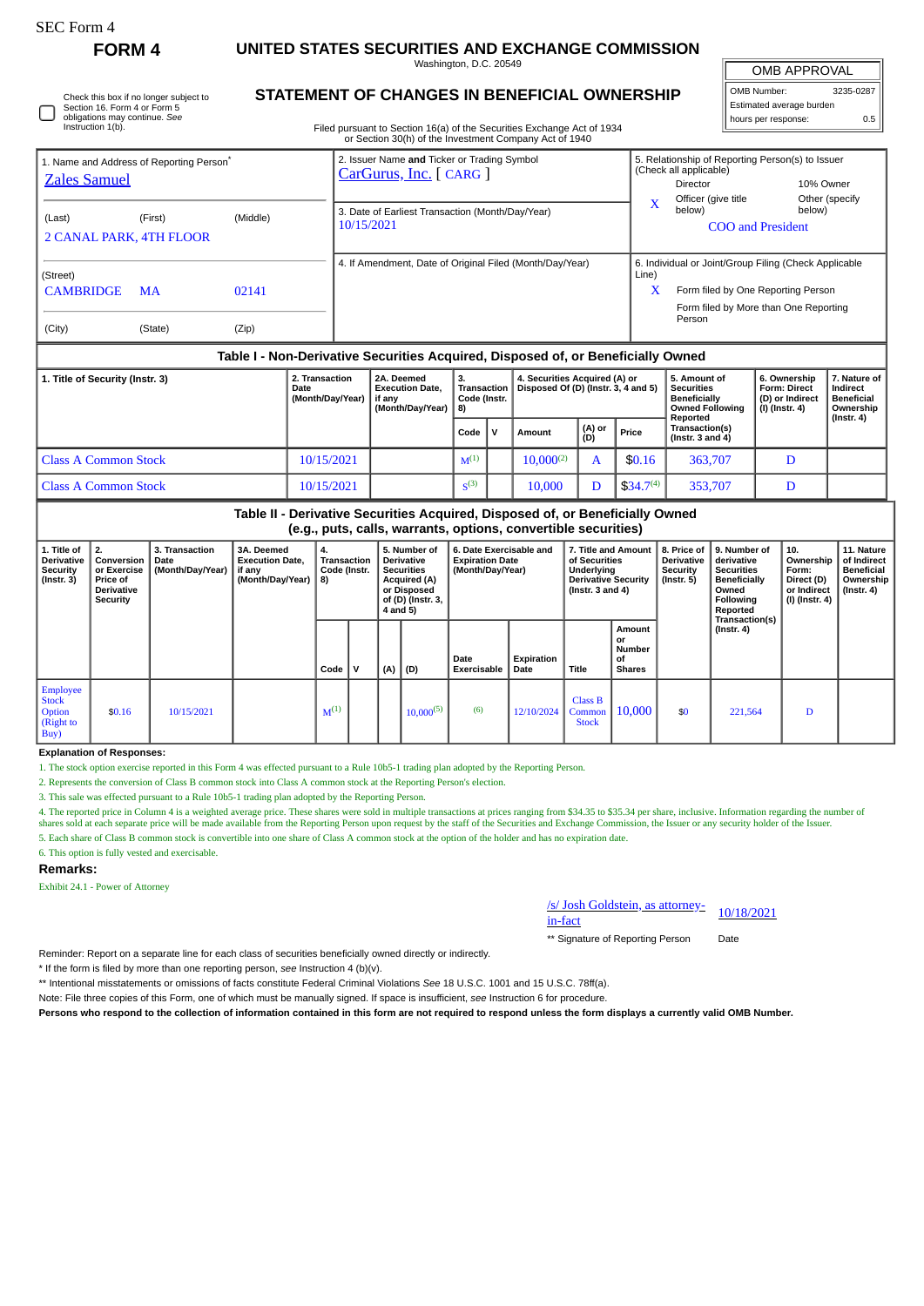# **FORM 4 UNITED STATES SECURITIES AND EXCHANGE COMMISSION**

Washington, D.C. 20549

OMB APPROVAL

| 3235-0287<br>OMB Number: |     |  |  |  |  |  |  |
|--------------------------|-----|--|--|--|--|--|--|
| Estimated average burden |     |  |  |  |  |  |  |
| hours per response:      | 0.5 |  |  |  |  |  |  |

**11. Nature**

Check this box if no longer subject to Section 16. Form 4 or Form 5 obligations may continue. *See* Instruction 1(b).

# **STATEMENT OF CHANGES IN BENEFICIAL OWNERSHIP**

Filed pursuant to Section 16(a) of the Securities Exchange Act of 1934 or Section 30(h) of the Investment Company Act of 1940

| 1. Name and Address of Reporting Person <sup>®</sup><br><b>Zales Samuel</b>      |                      |                | 2. Issuer Name and Ticker or Trading Symbol<br>$CarGurus, Inc.$ [ CARG ] | 5. Relationship of Reporting Person(s) to Issuer<br>(Check all applicable)                                                                                   |  |  |  |  |  |
|----------------------------------------------------------------------------------|----------------------|----------------|--------------------------------------------------------------------------|--------------------------------------------------------------------------------------------------------------------------------------------------------------|--|--|--|--|--|
| (Last)<br><b>2 CANAL PARK, 4TH FLOOR</b>                                         | (First)              | (Middle)       | 3. Date of Earliest Transaction (Month/Day/Year)<br>10/15/2021           | 10% Owner<br>Director<br>Officer (give title<br>Other (specify<br>below)<br>below)<br><b>COO</b> and President                                               |  |  |  |  |  |
| (Street)<br><b>CAMBRIDGE</b><br>(City)                                           | <b>MA</b><br>(State) | 02141<br>(Zip) | 4. If Amendment, Date of Original Filed (Month/Day/Year)                 | 6. Individual or Joint/Group Filing (Check Applicable<br>Line)<br>x<br>Form filed by One Reporting Person<br>Form filed by More than One Reporting<br>Person |  |  |  |  |  |
| Table I - Non-Derivative Securities Acquired. Disposed of, or Beneficially Owned |                      |                |                                                                          |                                                                                                                                                              |  |  |  |  |  |

#### **1. Title of Security (Instr. 3) 2. Transaction Date (Month/Day/Year) 2A. Deemed Execution Date, if any (Month/Day/Year) 3. Transaction Code (Instr. 8) 4. Securities Acquired (A) or Disposed Of (D) (Instr. 3, 4 and 5) 5. Amount of Securities Beneficially Owned Following Reported Transaction(s) (Instr. 3 and 4) 6. Ownership Form: Direct (D) or Indirect (I) (Instr. 4) 7. Nature of Indirect Beneficial Ownership (Instr. 4)**  $\text{Code}$  **V**  $\begin{bmatrix} \text{Amount} \\ \text{(D)} \end{bmatrix}$  **(A)** or **Price** Class A Common Stock 10/15/2021 |  $M^{(1)}$  10,000<sup>(2)</sup> A \$0.16 363,707 D Class A Common Stock  $10/15/2021$   $\begin{array}{|l|}\n\hline\n\end{array}$  s<sup>(3)</sup> 10,000 D  $\left| \right.$  534.7<sup>(4)</sup> 353,707 D

**Table II - Derivative Securities Acquired, Disposed of, or Beneficially Owned (e.g., puts, calls, warrants, options, convertible securities) 3. Transaction Date 3A. Deemed Execution Date, 4. Transaction 5. Number of 6. Date Exercisable and 7. Title and Amount 8. Price of 9. Number of 10. Derivative Expiration Date of Securities Derivative derivative**

| Derivative<br>Security<br>$($ Instr. 3 $)$                    | Conversion   Date<br>or Exercise<br><b>Price of</b><br><b>Derivative</b><br>Security | (Month/Day/Year) | <b>Execution Date,</b><br>if any<br>(Month/Day/Year) | <b>Transaction</b><br>Code (Instr.<br>8) |   | Derivative<br><b>Securities</b><br><b>Acquired (A)</b><br>or Disposed<br>of (D) (Instr. 3,<br>4 and 5) |                | <b>Expiration Date</b><br>(Month/Day/Year) |                    | of Securities<br>Underlying<br><b>Derivative Security</b><br>(Instr. $3$ and $4$ ) |                                               | <b>Derivative</b><br>Security<br>(Instr. 5) | l derivative<br>Securities<br><b>Beneficially</b><br>Owned<br><b>Following</b><br>Reported | Ownership   of Indirect<br>Form:<br>Direct (D)<br>or Indirect<br>(I) (Instr. 4) | <b>Beneficial</b><br>Ownership<br>(Instr. 4) |
|---------------------------------------------------------------|--------------------------------------------------------------------------------------|------------------|------------------------------------------------------|------------------------------------------|---|--------------------------------------------------------------------------------------------------------|----------------|--------------------------------------------|--------------------|------------------------------------------------------------------------------------|-----------------------------------------------|---------------------------------------------|--------------------------------------------------------------------------------------------|---------------------------------------------------------------------------------|----------------------------------------------|
|                                                               |                                                                                      |                  |                                                      | Code                                     | v | (A)                                                                                                    | $ $ (D)        | Date<br>Exercisable                        | Expiration<br>Date | Title                                                                              | Amount<br>or<br>Number<br>οf<br><b>Shares</b> |                                             | Transaction(s)<br>(Instr. 4)                                                               |                                                                                 |                                              |
| Employee<br><b>Stock</b><br><b>Option</b><br>(Right to<br>Buy | \$0.16                                                                               | 10/15/2021       |                                                      | $M^{(1)}$                                |   |                                                                                                        | $10,000^{(5)}$ | (6)                                        | 12/10/2024         | <b>Class B</b><br>Common<br><b>Stock</b>                                           | 10,000                                        | \$0                                         | 221,564                                                                                    | D                                                                               |                                              |

## **Explanation of Responses:**

1. The stock option exercise reported in this Form 4 was effected pursuant to a Rule 10b5-1 trading plan adopted by the Reporting Person.

2. Represents the conversion of Class B common stock into Class A common stock at the Reporting Person's election.

3. This sale was effected pursuant to a Rule 10b5-1 trading plan adopted by the Reporting Person.

4. The reported price in Column 4 is a weighted average price. These shares were sold in multiple transactions at prices ranging from \$34.35 to \$35.34 per share, inclusive. Information regarding the number of shares sold at each separate price will be made available from the Reporting Person upon request by the staff of the Securities and Exchange Commission, the Issuer or any security holder of the Issuer. 5. Each share of Class B common stock is convertible into one share of Class A common stock at the option of the holder and has no expiration date.

6. This option is fully vested and exercisable.

#### **Remarks:**

**1. Title of 2.**

Exhibit 24.1 - Power of Attorney

/s/ Josh Goldstein, as attorney-in-fact 10/18/2021

\*\* Signature of Reporting Person Date

Reminder: Report on a separate line for each class of securities beneficially owned directly or indirectly.

\* If the form is filed by more than one reporting person, *see* Instruction 4 (b)(v).

\*\* Intentional misstatements or omissions of facts constitute Federal Criminal Violations *See* 18 U.S.C. 1001 and 15 U.S.C. 78ff(a).

Note: File three copies of this Form, one of which must be manually signed. If space is insufficient, *see* Instruction 6 for procedure.

**Persons who respond to the collection of information contained in this form are not required to respond unless the form displays a currently valid OMB Number.**